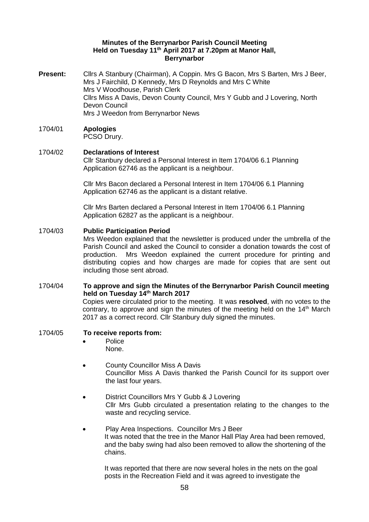#### **Minutes of the Berrynarbor Parish Council Meeting Held on Tuesday 11th April 2017 at 7.20pm at Manor Hall, Berrynarbor**

**Present:** Cllrs A Stanbury (Chairman), A Coppin. Mrs G Bacon, Mrs S Barten, Mrs J Beer, Mrs J Fairchild, D Kennedy, Mrs D Reynolds and Mrs C White Mrs V Woodhouse, Parish Clerk Cllrs Miss A Davis, Devon County Council, Mrs Y Gubb and J Lovering, North Devon Council Mrs J Weedon from Berrynarbor News

# 1704/01 **Apologies**

PCSO Drury.

# 1704/02 **Declarations of Interest**

Cllr Stanbury declared a Personal Interest in Item 1704/06 6.1 Planning Application 62746 as the applicant is a neighbour.

Cllr Mrs Bacon declared a Personal Interest in Item 1704/06 6.1 Planning Application 62746 as the applicant is a distant relative.

Cllr Mrs Barten declared a Personal Interest in Item 1704/06 6.1 Planning Application 62827 as the applicant is a neighbour.

# 1704/03 **Public Participation Period**

Mrs Weedon explained that the newsletter is produced under the umbrella of the Parish Council and asked the Council to consider a donation towards the cost of production. Mrs Weedon explained the current procedure for printing and distributing copies and how charges are made for copies that are sent out including those sent abroad.

# 1704/04 **To approve and sign the Minutes of the Berrynarbor Parish Council meeting held on Tuesday 14th March 2017**

Copies were circulated prior to the meeting. It was **resolved**, with no votes to the contrary, to approve and sign the minutes of the meeting held on the  $14<sup>th</sup>$  March 2017 as a correct record. Cllr Stanbury duly signed the minutes.

## 1704/05 **To receive reports from:**

- Police None.
- County Councillor Miss A Davis Councillor Miss A Davis thanked the Parish Council for its support over the last four years.
- District Councillors Mrs Y Gubb & J Lovering Cllr Mrs Gubb circulated a presentation relating to the changes to the waste and recycling service.
- Play Area Inspections. Councillor Mrs J Beer It was noted that the tree in the Manor Hall Play Area had been removed, and the baby swing had also been removed to allow the shortening of the chains.

It was reported that there are now several holes in the nets on the goal posts in the Recreation Field and it was agreed to investigate the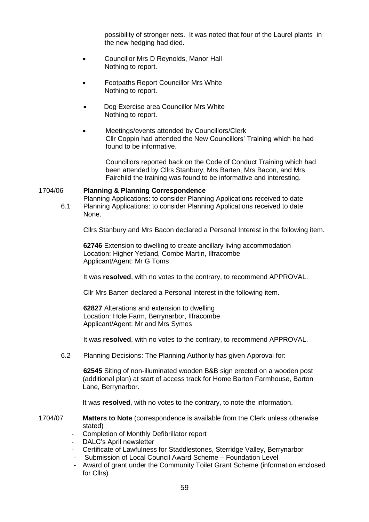possibility of stronger nets. It was noted that four of the Laurel plants in the new hedging had died.

- Councillor Mrs D Reynolds, Manor Hall Nothing to report.
- Footpaths Report Councillor Mrs White Nothing to report.
- Dog Exercise area Councillor Mrs White Nothing to report.
- Meetings/events attended by Councillors/Clerk Cllr Coppin had attended the New Councillors' Training which he had found to be informative.

Councillors reported back on the Code of Conduct Training which had been attended by Cllrs Stanbury, Mrs Barten, Mrs Bacon, and Mrs Fairchild the training was found to be informative and interesting.

#### 1704/06 **Planning & Planning Correspondence**

Planning Applications: to consider Planning Applications received to date 6.1 Planning Applications: to consider Planning Applications received to date None.

Cllrs Stanbury and Mrs Bacon declared a Personal Interest in the following item.

**62746** Extension to dwelling to create ancillary living accommodation Location: Higher Yetland, Combe Martin, Ilfracombe Applicant/Agent: Mr G Toms

It was **resolved**, with no votes to the contrary, to recommend APPROVAL.

Cllr Mrs Barten declared a Personal Interest in the following item.

**62827** Alterations and extension to dwelling Location: Hole Farm, Berrynarbor, Ilfracombe Applicant/Agent: Mr and Mrs Symes

It was **resolved**, with no votes to the contrary, to recommend APPROVAL.

6.2 Planning Decisions: The Planning Authority has given Approval for:

**62545** Siting of non-illuminated wooden B&B sign erected on a wooden post (additional plan) at start of access track for Home Barton Farmhouse, Barton Lane, Berrynarbor.

It was **resolved**, with no votes to the contrary, to note the information.

1704/07 **Matters to Note** (correspondence is available from the Clerk unless otherwise stated)

- Completion of Monthly Defibrillator report
- DALC's April newsletter
- Certificate of Lawfulness for Staddlestones, Sterridge Valley, Berrynarbor
- Submission of Local Council Award Scheme Foundation Level
- Award of grant under the Community Toilet Grant Scheme (information enclosed for Cllrs)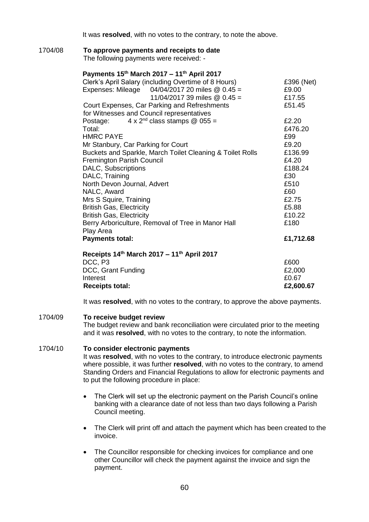It was **resolved**, with no votes to the contrary, to note the above.

#### 1704/08 **To approve payments and receipts to date**

The following payments were received: -

## **Payments 15th March 2017 – 11th April 2017**

| Clerk's April Salary (including Overtime of 8 Hours)      | £396 (Net) |
|-----------------------------------------------------------|------------|
| Expenses: Mileage  04/04/2017 20 miles @ 0.45 =           | £9.00      |
| 11/04/2017 39 miles $@$ 0.45 =                            | £17.55     |
| Court Expenses, Car Parking and Refreshments              | £51.45     |
| for Witnesses and Council representatives                 |            |
| Postage: $4 \times 2^{nd}$ class stamps @ 055 =           | £2.20      |
| Total:                                                    | £476.20    |
| <b>HMRC PAYE</b>                                          | £99        |
| Mr Stanbury, Car Parking for Court                        | £9.20      |
| Buckets and Sparkle, March Toilet Cleaning & Toilet Rolls | £136.99    |
| <b>Fremington Parish Council</b>                          | £4.20      |
| DALC, Subscriptions                                       | £188.24    |
| DALC, Training                                            | £30        |
| North Devon Journal, Advert                               | £510       |
| NALC, Award                                               | £60        |
| Mrs S Squire, Training                                    | £2.75      |
| <b>British Gas, Electricity</b>                           | £5.88      |
| <b>British Gas, Electricity</b>                           | £10.22     |
| Berry Arboriculture, Removal of Tree in Manor Hall        | £180       |
| Play Area                                                 |            |
| <b>Payments total:</b>                                    | £1,712.68  |
| Receipts 14th March 2017 - 11th April 2017                |            |
| DCC, P3                                                   | £600       |
| DCC, Grant Funding                                        | £2,000     |
| Interest                                                  | £0.67      |
| <b>Receipts total:</b>                                    | £2,600.67  |

It was **resolved**, with no votes to the contrary, to approve the above payments.

#### 1704/09 **To receive budget review**

The budget review and bank reconciliation were circulated prior to the meeting and it was **resolved**, with no votes to the contrary, to note the information.

#### 1704/10 **To consider electronic payments**

It was **resolved**, with no votes to the contrary, to introduce electronic payments where possible, it was further **resolved**, with no votes to the contrary, to amend Standing Orders and Financial Regulations to allow for electronic payments and to put the following procedure in place:

- The Clerk will set up the electronic payment on the Parish Council's online banking with a clearance date of not less than two days following a Parish Council meeting.
- The Clerk will print off and attach the payment which has been created to the invoice.
- The Councillor responsible for checking invoices for compliance and one other Councillor will check the payment against the invoice and sign the payment.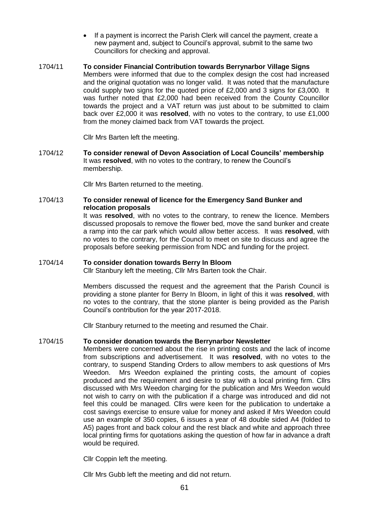- If a payment is incorrect the Parish Clerk will cancel the payment, create a new payment and, subject to Council's approval, submit to the same two Councillors for checking and approval.
- 1704/11 **To consider Financial Contribution towards Berrynarbor Village Signs**  Members were informed that due to the complex design the cost had increased and the original quotation was no longer valid. It was noted that the manufacture could supply two signs for the quoted price of £2,000 and 3 signs for £3,000. It was further noted that £2,000 had been received from the County Councillor towards the project and a VAT return was just about to be submitted to claim back over £2,000 it was **resolved**, with no votes to the contrary, to use £1,000 from the money claimed back from VAT towards the project.

Cllr Mrs Barten left the meeting.

1704/12 **To consider renewal of Devon Association of Local Councils' membership** It was **resolved**, with no votes to the contrary, to renew the Council's membership.

Cllr Mrs Barten returned to the meeting.

#### 1704/13 **To consider renewal of licence for the Emergency Sand Bunker and relocation proposals**

It was **resolved**, with no votes to the contrary, to renew the licence. Members discussed proposals to remove the flower bed, move the sand bunker and create a ramp into the car park which would allow better access. It was **resolved**, with no votes to the contrary, for the Council to meet on site to discuss and agree the proposals before seeking permission from NDC and funding for the project.

#### 1704/14 **To consider donation towards Berry In Bloom**

Cllr Stanbury left the meeting, Cllr Mrs Barten took the Chair.

Members discussed the request and the agreement that the Parish Council is providing a stone planter for Berry In Bloom, in light of this it was **resolved**, with no votes to the contrary, that the stone planter is being provided as the Parish Council's contribution for the year 2017-2018.

Cllr Stanbury returned to the meeting and resumed the Chair.

## 1704/15 **To consider donation towards the Berrynarbor Newsletter**

Members were concerned about the rise in printing costs and the lack of income from subscriptions and advertisement. It was **resolved**, with no votes to the contrary, to suspend Standing Orders to allow members to ask questions of Mrs Weedon. Mrs Weedon explained the printing costs, the amount of copies produced and the requirement and desire to stay with a local printing firm. Cllrs discussed with Mrs Weedon charging for the publication and Mrs Weedon would not wish to carry on with the publication if a charge was introduced and did not feel this could be managed. Cllrs were keen for the publication to undertake a cost savings exercise to ensure value for money and asked if Mrs Weedon could use an example of 350 copies, 6 issues a year of 48 double sided A4 (folded to A5) pages front and back colour and the rest black and white and approach three local printing firms for quotations asking the question of how far in advance a draft would be required.

Cllr Coppin left the meeting.

Cllr Mrs Gubb left the meeting and did not return.